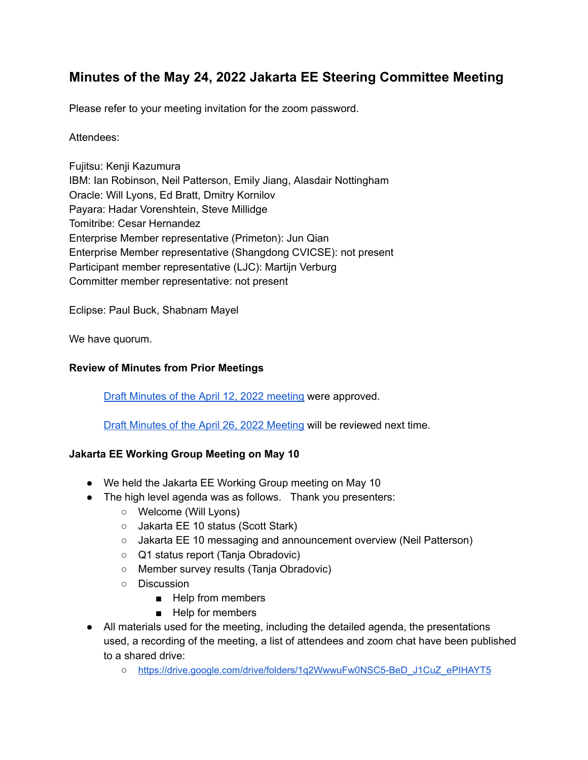# **Minutes of the May 24, 2022 Jakarta EE Steering Committee Meeting**

Please refer to your meeting invitation for the zoom password.

### Attendees:

Fujitsu: Kenji Kazumura IBM: Ian Robinson, Neil Patterson, Emily Jiang, Alasdair Nottingham Oracle: Will Lyons, Ed Bratt, Dmitry Kornilov Payara: Hadar Vorenshtein, Steve Millidge Tomitribe: Cesar Hernandez Enterprise Member representative (Primeton): Jun Qian Enterprise Member representative (Shangdong CVICSE): not present Participant member representative (LJC): Martijn Verburg Committer member representative: not present

Eclipse: Paul Buck, Shabnam Mayel

We have quorum.

### **Review of Minutes from Prior Meetings**

Draft Minutes of the April 12, 2022 [meeting](https://docs.google.com/document/d/1WJfrOx3WoFRPEKqZGmOqdP71ifEYVfaiyviaLAUT7_Y/edit) were approved.

Draft Minutes of the April 26, 2022 [Meeting](https://docs.google.com/document/d/17mk1jvFAJ6McDV1j2_sEXEUEIbJLGXLv29u7mkKJQs0/edit) will be reviewed next time.

### **Jakarta EE Working Group Meeting on May 10**

- We held the Jakarta EE Working Group meeting on May 10
- The high level agenda was as follows. Thank you presenters:
	- Welcome (Will Lyons)
	- Jakarta EE 10 status (Scott Stark)
	- Jakarta EE 10 messaging and announcement overview (Neil Patterson)
	- Q1 status report (Tanja Obradovic)
	- Member survey results (Tanja Obradovic)
	- Discussion
		- Help from members
		- Help for members
- All materials used for the meeting, including the detailed agenda, the presentations used, a recording of the meeting, a list of attendees and zoom chat have been published to a shared drive:
	- o [https://drive.google.com/drive/folders/1q2WwwuFw0NSC5-BeD\\_J1CuZ\\_ePIHAYT5](https://drive.google.com/drive/folders/1q2WwwuFw0NSC5-BeD_J1CuZ_ePIHAYT5)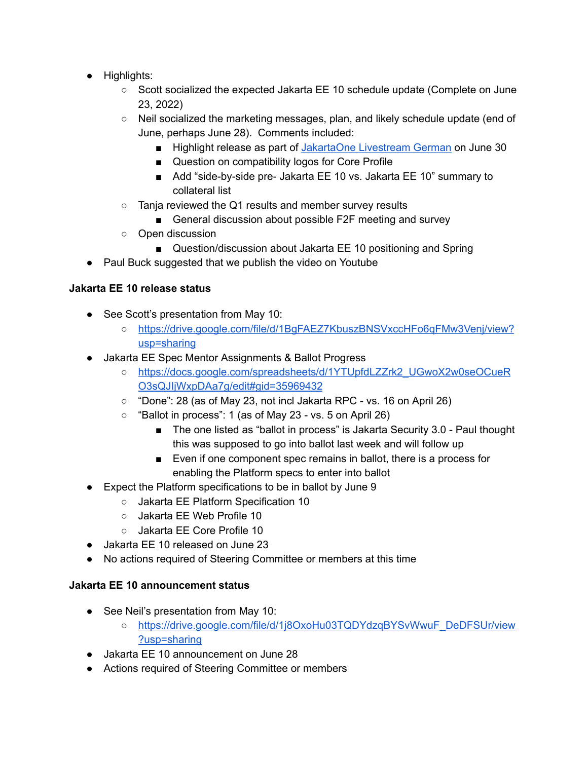- Highlights:
	- Scott socialized the expected Jakarta EE 10 schedule update (Complete on June 23, 2022)
	- Neil socialized the marketing messages, plan, and likely schedule update (end of June, perhaps June 28). Comments included:
		- Highlight release as part of [JakartaOne](https://jakartaone.org/2022/german) Livestream German on June 30
		- Question on compatibility logos for Core Profile
		- Add "side-by-side pre- Jakarta EE 10 vs. Jakarta EE 10" summary to collateral list
	- Tanja reviewed the Q1 results and member survey results
		- General discussion about possible F2F meeting and survey
	- Open discussion
		- Question/discussion about Jakarta EE 10 positioning and Spring
- Paul Buck suggested that we publish the video on Youtube

### **Jakarta EE 10 release status**

- See Scott's presentation from May 10:
	- [https://drive.google.com/file/d/1BgFAEZ7KbuszBNSVxccHFo6qFMw3Venj/view?](https://drive.google.com/file/d/1BgFAEZ7KbuszBNSVxccHFo6qFMw3Venj/view?usp=sharing) [usp=sharing](https://drive.google.com/file/d/1BgFAEZ7KbuszBNSVxccHFo6qFMw3Venj/view?usp=sharing)
- Jakarta EE Spec Mentor Assignments & Ballot Progress
	- [https://docs.google.com/spreadsheets/d/1YTUpfdLZZrk2\\_UGwoX2w0seOCueR](https://docs.google.com/spreadsheets/d/1YTUpfdLZZrk2_UGwoX2w0seOCueRO3sQJIjWxpDAa7g/edit#gid=35969432) [O3sQJIjWxpDAa7g/edit#gid=35969432](https://docs.google.com/spreadsheets/d/1YTUpfdLZZrk2_UGwoX2w0seOCueRO3sQJIjWxpDAa7g/edit#gid=35969432)
	- "Done": 28 (as of May 23, not incl Jakarta RPC vs. 16 on April 26)
	- $\circ$  "Ballot in process": 1 (as of May 23 vs. 5 on April 26)
		- The one listed as "ballot in process" is Jakarta Security 3.0 Paul thought this was supposed to go into ballot last week and will follow up
		- Even if one component spec remains in ballot, there is a process for enabling the Platform specs to enter into ballot
- Expect the Platform specifications to be in ballot by June 9
	- Jakarta EE Platform Specification 10
	- Jakarta EE Web Profile 10
	- Jakarta EE Core Profile 10
- Jakarta EE 10 released on June 23
- No actions required of Steering Committee or members at this time

### **Jakarta EE 10 announcement status**

- See Neil's presentation from May 10:
	- [https://drive.google.com/file/d/1j8OxoHu03TQDYdzqBYSvWwuF\\_DeDFSUr/view](https://drive.google.com/file/d/1j8OxoHu03TQDYdzqBYSvWwuF_DeDFSUr/view?usp=sharing) [?usp=sharing](https://drive.google.com/file/d/1j8OxoHu03TQDYdzqBYSvWwuF_DeDFSUr/view?usp=sharing)
- Jakarta EE 10 announcement on June 28
- Actions required of Steering Committee or members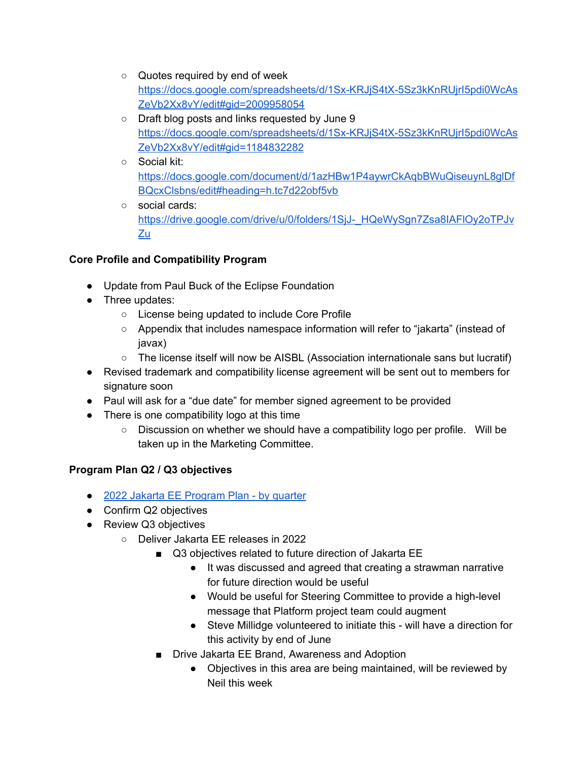- Quotes required by end of week [https://docs.google.com/spreadsheets/d/1Sx-KRJjS4tX-5Sz3kKnRUjrI5pdi0WcAs](https://docs.google.com/spreadsheets/d/1Sx-KRJjS4tX-5Sz3kKnRUjrI5pdi0WcAsZeVb2Xx8vY/edit#gid=2009958054) [ZeVb2Xx8vY/edit#gid=2009958054](https://docs.google.com/spreadsheets/d/1Sx-KRJjS4tX-5Sz3kKnRUjrI5pdi0WcAsZeVb2Xx8vY/edit#gid=2009958054)
- Draft blog posts and links requested by June 9 [https://docs.google.com/spreadsheets/d/1Sx-KRJjS4tX-5Sz3kKnRUjrI5pdi0WcAs](https://docs.google.com/spreadsheets/d/1Sx-KRJjS4tX-5Sz3kKnRUjrI5pdi0WcAsZeVb2Xx8vY/edit#gid=1184832282) [ZeVb2Xx8vY/edit#gid=1184832282](https://docs.google.com/spreadsheets/d/1Sx-KRJjS4tX-5Sz3kKnRUjrI5pdi0WcAsZeVb2Xx8vY/edit#gid=1184832282)
- Social kit: [https://docs.google.com/document/d/1azHBw1P4aywrCkAqbBWuQiseuynL8glDf](https://docs.google.com/document/d/1azHBw1P4aywrCkAqbBWuQiseuynL8glDfBQcxClsbns/edit#heading=h.tc7d22obf5vb) [BQcxClsbns/edit#heading=h.tc7d22obf5vb](https://docs.google.com/document/d/1azHBw1P4aywrCkAqbBWuQiseuynL8glDfBQcxClsbns/edit#heading=h.tc7d22obf5vb)
- social cards: [https://drive.google.com/drive/u/0/folders/1SjJ-\\_HQeWySgn7Zsa8IAFlOy2oTPJv](https://drive.google.com/drive/u/0/folders/1SjJ-_HQeWySgn7Zsa8IAFlOy2oTPJvZu) **[Zu](https://drive.google.com/drive/u/0/folders/1SjJ-_HQeWySgn7Zsa8IAFlOy2oTPJvZu)**

### **Core Profile and Compatibility Program**

- Update from Paul Buck of the Eclipse Foundation
- Three updates:
	- License being updated to include Core Profile
	- Appendix that includes namespace information will refer to "jakarta" (instead of javax)
	- The license itself will now be AISBL (Association internationale sans but lucratif)
- Revised trademark and compatibility license agreement will be sent out to members for signature soon
- Paul will ask for a "due date" for member signed agreement to be provided
- There is one compatibility logo at this time
	- $\circ$  Discussion on whether we should have a compatibility logo per profile. Will be taken up in the Marketing Committee.

## **Program Plan Q2 / Q3 objectives**

- 2022 Jakarta EE [Program](https://urldefense.com/v3/__https://docs.google.com/presentation/d/1JH_ONPYmsQxNgN-ta4Yc6AP7i3Ez1Hq1gP8PX2zbCeo/edit*slide=id.gae9757cb85_0_0__;Iw!!ACWV5N9M2RV99hQ!OeoAabK33_F9qqo09Q4z99C9YuU1ktqquKfobcp-H7EKdtF6HNrV6QikNbri3vsL-_p_-bJoqH1xw2nUXeTjj4MCgo-ysVl-gCwtNA$) Plan by quarter
- Confirm Q2 objectives
- Review Q3 objectives
	- Deliver Jakarta EE releases in 2022
		- Q3 objectives related to future direction of Jakarta EE
			- It was discussed and agreed that creating a strawman narrative for future direction would be useful
			- Would be useful for Steering Committee to provide a high-level message that Platform project team could augment
			- Steve Millidge volunteered to initiate this will have a direction for this activity by end of June
		- Drive Jakarta EE Brand, Awareness and Adoption
			- Objectives in this area are being maintained, will be reviewed by Neil this week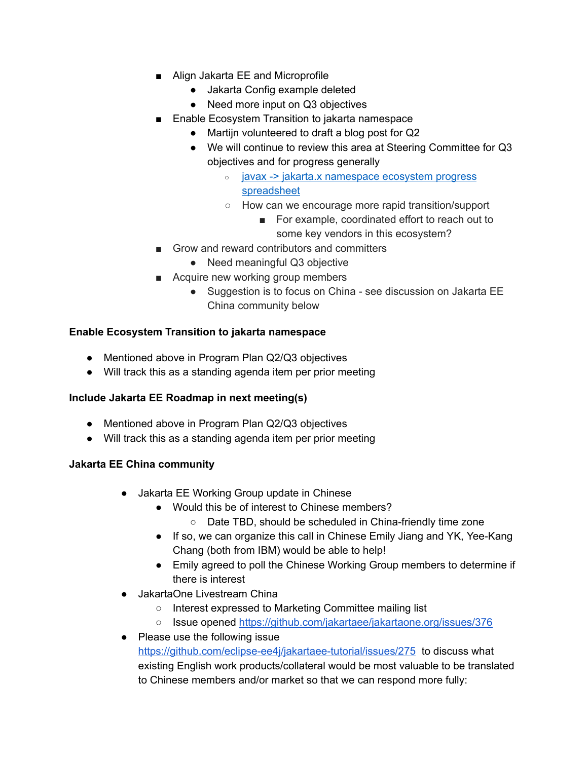- Align Jakarta EE and Microprofile
	- Jakarta Config example deleted
	- Need more input on Q3 objectives
- Enable Ecosystem Transition to jakarta namespace
	- Martijn volunteered to draft a blog post for Q2
	- We will continue to review this area at Steering Committee for Q3 objectives and for progress generally
		- javax -> jakarta.x [namespace](https://urldefense.com/v3/__https://docs.google.com/spreadsheets/d/1gEv8IK2xXYJxf2i0uUCwfIBMPybF9XMOczhA--hdRaE/edit*gid=0__;Iw!!ACWV5N9M2RV99hQ!OeoAabK33_F9qqo09Q4z99C9YuU1ktqquKfobcp-H7EKdtF6HNrV6QikNbri3vsL-_p_-bJoqH1xw2nUXeTjj4MCgo-ysVkS9FtTtg$) ecosystem progress [spreadsheet](https://urldefense.com/v3/__https://docs.google.com/spreadsheets/d/1gEv8IK2xXYJxf2i0uUCwfIBMPybF9XMOczhA--hdRaE/edit*gid=0__;Iw!!ACWV5N9M2RV99hQ!OeoAabK33_F9qqo09Q4z99C9YuU1ktqquKfobcp-H7EKdtF6HNrV6QikNbri3vsL-_p_-bJoqH1xw2nUXeTjj4MCgo-ysVkS9FtTtg$)
		- How can we encourage more rapid transition/support
			- For example, coordinated effort to reach out to some key vendors in this ecosystem?
- Grow and reward contributors and committers
	- Need meaningful Q3 objective
- Acquire new working group members
	- Suggestion is to focus on China see discussion on Jakarta EE China community below

### **Enable Ecosystem Transition to jakarta namespace**

- Mentioned above in Program Plan Q2/Q3 objectives
- Will track this as a standing agenda item per prior meeting

### **Include Jakarta EE Roadmap in next meeting(s)**

- Mentioned above in Program Plan Q2/Q3 objectives
- Will track this as a standing agenda item per prior meeting

#### **Jakarta EE China community**

- Jakarta EE Working Group update in Chinese
	- Would this be of interest to Chinese members?
		- Date TBD, should be scheduled in China-friendly time zone
	- If so, we can organize this call in Chinese Emily Jiang and YK, Yee-Kang Chang (both from IBM) would be able to help!
	- Emily agreed to poll the Chinese Working Group members to determine if there is interest
- JakartaOne Livestream China
	- Interest expressed to Marketing Committee mailing list
	- Issue opened <https://github.com/jakartaee/jakartaone.org/issues/376>
- Please use the following issue <https://github.com/eclipse-ee4j/jakartaee-tutorial/issues/275> to discuss what existing English work products/collateral would be most valuable to be translated to Chinese members and/or market so that we can respond more fully: